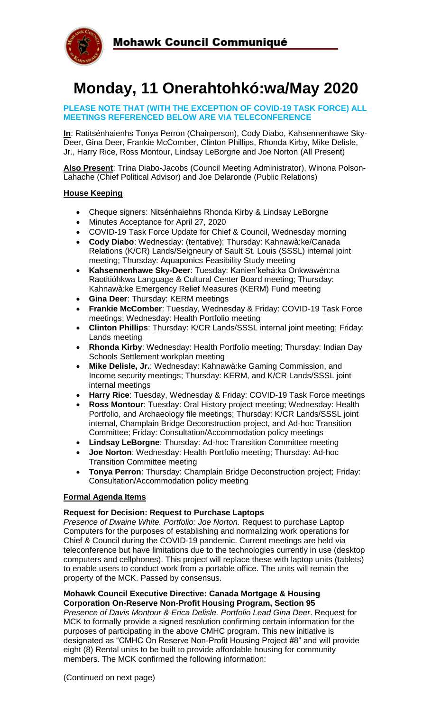



# **Monday, 11 Onerahtohkó:wa/May 2020**

### **PLEASE NOTE THAT (WITH THE EXCEPTION OF COVID-19 TASK FORCE) ALL MEETINGS REFERENCED BELOW ARE VIA TELECONFERENCE**

**In**: Ratitsénhaienhs Tonya Perron (Chairperson), Cody Diabo, Kahsennenhawe Sky-Deer, Gina Deer, Frankie McComber, Clinton Phillips, Rhonda Kirby, Mike Delisle, Jr., Harry Rice, Ross Montour, Lindsay LeBorgne and Joe Norton (All Present)

**Also Present**: Trina Diabo-Jacobs (Council Meeting Administrator), Winona Polson-Lahache (Chief Political Advisor) and Joe Delaronde (Public Relations)

## **House Keeping**

- Cheque signers: Nitsénhaiehns Rhonda Kirby & Lindsay LeBorgne
- Minutes Acceptance for April 27, 2020
- COVID-19 Task Force Update for Chief & Council, Wednesday morning
- **Cody Diabo**: Wednesday: (tentative); Thursday: Kahnawà:ke/Canada Relations (K/CR) Lands/Seigneury of Sault St. Louis (SSSL) internal joint meeting; Thursday: Aquaponics Feasibility Study meeting
- **Kahsennenhawe Sky-Deer**: Tuesday: Kanien'kehá:ka Onkwawén:na Raotitióhkwa Language & Cultural Center Board meeting; Thursday: Kahnawà:ke Emergency Relief Measures (KERM) Fund meeting
- **Gina Deer**: Thursday: KERM meetings
- **Frankie McComber**: Tuesday, Wednesday & Friday: COVID-19 Task Force meetings; Wednesday: Health Portfolio meeting
- **Clinton Phillips**: Thursday: K/CR Lands/SSSL internal joint meeting; Friday: Lands meeting
- **Rhonda Kirby**: Wednesday: Health Portfolio meeting; Thursday: Indian Day Schools Settlement workplan meeting
- **Mike Delisle, Jr.**: Wednesday: Kahnawà:ke Gaming Commission, and Income security meetings; Thursday: KERM, and K/CR Lands/SSSL joint internal meetings
- **Harry Rice**: Tuesday, Wednesday & Friday: COVID-19 Task Force meetings
- **Ross Montour**: Tuesday: Oral History project meeting; Wednesday: Health Portfolio, and Archaeology file meetings; Thursday: K/CR Lands/SSSL joint internal, Champlain Bridge Deconstruction project, and Ad-hoc Transition Committee; Friday: Consultation/Accommodation policy meetings
- **Lindsay LeBorgne**: Thursday: Ad-hoc Transition Committee meeting
- **Joe Norton**: Wednesday: Health Portfolio meeting; Thursday: Ad-hoc Transition Committee meeting
- **Tonya Perron**: Thursday: Champlain Bridge Deconstruction project; Friday: Consultation/Accommodation policy meeting

### **Formal Agenda Items**

### **Request for Decision: Request to Purchase Laptops**

*Presence of Dwaine White. Portfolio: Joe Norton.* Request to purchase Laptop Computers for the purposes of establishing and normalizing work operations for Chief & Council during the COVID-19 pandemic. Current meetings are held via teleconference but have limitations due to the technologies currently in use (desktop computers and cellphones). This project will replace these with laptop units (tablets) to enable users to conduct work from a portable office. The units will remain the property of the MCK. Passed by consensus.

#### **Mohawk Council Executive Directive: Canada Mortgage & Housing Corporation On-Reserve Non-Profit Housing Program, Section 95**

*Presence of Davis Montour & Erica Delisle. Portfolio Lead Gina Deer*. Request for MCK to formally provide a signed resolution confirming certain information for the purposes of participating in the above CMHC program. This new initiative is designated as "CMHC On Reserve Non-Profit Housing Project #8" and will provide eight (8) Rental units to be built to provide affordable housing for community members. The MCK confirmed the following information: